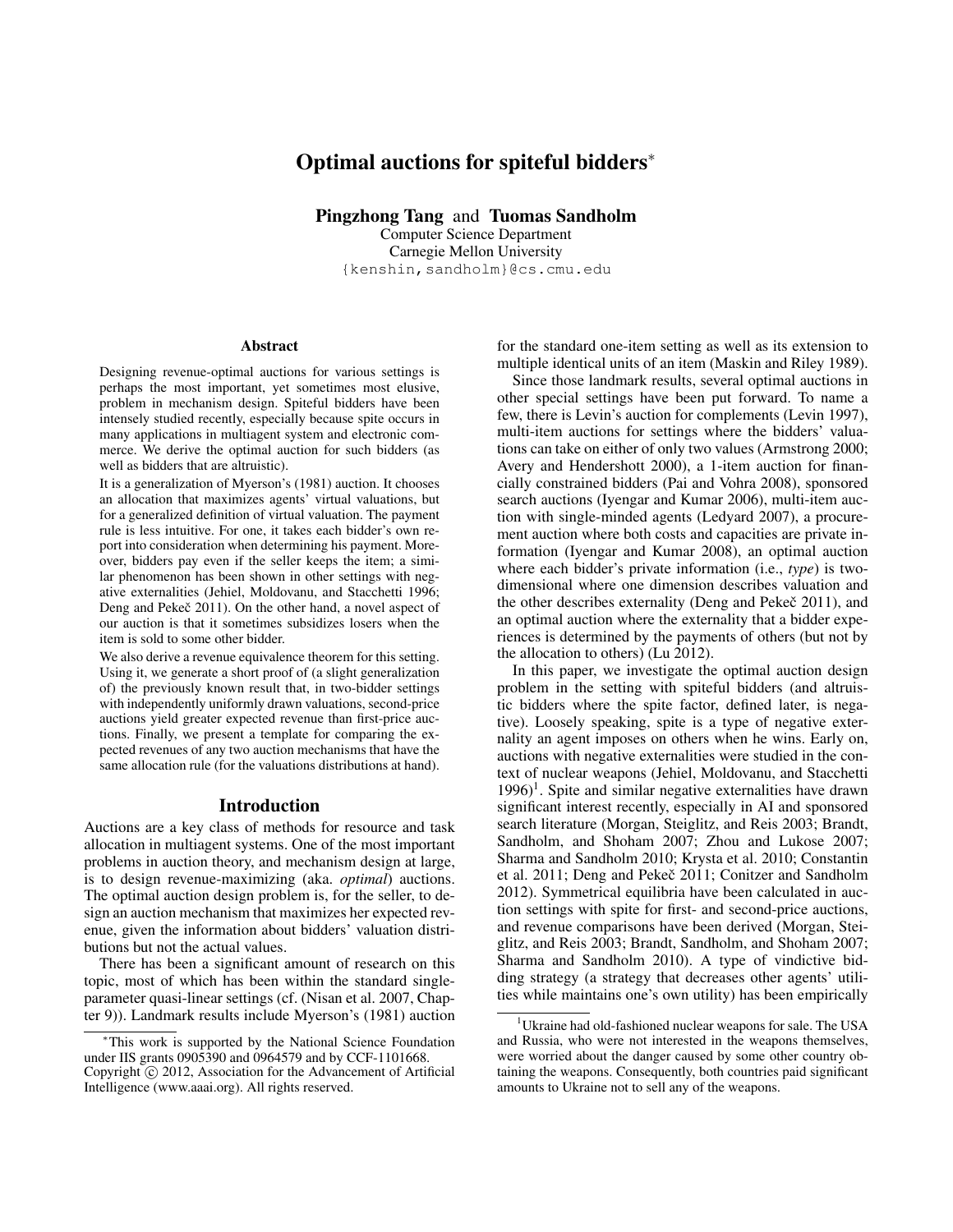# Optimal auctions for spiteful bidders<sup>∗</sup>

Pingzhong Tang and Tuomas Sandholm

Computer Science Department Carnegie Mellon University {kenshin,sandholm}@cs.cmu.edu

#### Abstract

Designing revenue-optimal auctions for various settings is perhaps the most important, yet sometimes most elusive, problem in mechanism design. Spiteful bidders have been intensely studied recently, especially because spite occurs in many applications in multiagent system and electronic commerce. We derive the optimal auction for such bidders (as well as bidders that are altruistic).

It is a generalization of Myerson's (1981) auction. It chooses an allocation that maximizes agents' virtual valuations, but for a generalized definition of virtual valuation. The payment rule is less intuitive. For one, it takes each bidder's own report into consideration when determining his payment. Moreover, bidders pay even if the seller keeps the item; a similar phenomenon has been shown in other settings with negative externalities (Jehiel, Moldovanu, and Stacchetti 1996; Deng and Pekeč 2011). On the other hand, a novel aspect of our auction is that it sometimes subsidizes losers when the item is sold to some other bidder.

We also derive a revenue equivalence theorem for this setting. Using it, we generate a short proof of (a slight generalization of) the previously known result that, in two-bidder settings with independently uniformly drawn valuations, second-price auctions yield greater expected revenue than first-price auctions. Finally, we present a template for comparing the expected revenues of any two auction mechanisms that have the same allocation rule (for the valuations distributions at hand).

#### Introduction

Auctions are a key class of methods for resource and task allocation in multiagent systems. One of the most important problems in auction theory, and mechanism design at large, is to design revenue-maximizing (aka. *optimal*) auctions. The optimal auction design problem is, for the seller, to design an auction mechanism that maximizes her expected revenue, given the information about bidders' valuation distributions but not the actual values.

There has been a significant amount of research on this topic, most of which has been within the standard singleparameter quasi-linear settings (cf. (Nisan et al. 2007, Chapter 9)). Landmark results include Myerson's (1981) auction

for the standard one-item setting as well as its extension to multiple identical units of an item (Maskin and Riley 1989).

Since those landmark results, several optimal auctions in other special settings have been put forward. To name a few, there is Levin's auction for complements (Levin 1997), multi-item auctions for settings where the bidders' valuations can take on either of only two values (Armstrong 2000; Avery and Hendershott 2000), a 1-item auction for financially constrained bidders (Pai and Vohra 2008), sponsored search auctions (Iyengar and Kumar 2006), multi-item auction with single-minded agents (Ledyard 2007), a procurement auction where both costs and capacities are private information (Iyengar and Kumar 2008), an optimal auction where each bidder's private information (i.e., *type*) is twodimensional where one dimension describes valuation and the other describes externality (Deng and Pekeč 2011), and an optimal auction where the externality that a bidder experiences is determined by the payments of others (but not by the allocation to others) (Lu 2012).

In this paper, we investigate the optimal auction design problem in the setting with spiteful bidders (and altruistic bidders where the spite factor, defined later, is negative). Loosely speaking, spite is a type of negative externality an agent imposes on others when he wins. Early on, auctions with negative externalities were studied in the context of nuclear weapons (Jehiel, Moldovanu, and Stacchetti  $1996$ <sup>1</sup>. Spite and similar negative externalities have drawn significant interest recently, especially in AI and sponsored search literature (Morgan, Steiglitz, and Reis 2003; Brandt, Sandholm, and Shoham 2007; Zhou and Lukose 2007; Sharma and Sandholm 2010; Krysta et al. 2010; Constantin et al. 2011; Deng and Pekeč 2011; Conitzer and Sandholm 2012). Symmetrical equilibria have been calculated in auction settings with spite for first- and second-price auctions, and revenue comparisons have been derived (Morgan, Steiglitz, and Reis 2003; Brandt, Sandholm, and Shoham 2007; Sharma and Sandholm 2010). A type of vindictive bidding strategy (a strategy that decreases other agents' utilities while maintains one's own utility) has been empirically

<sup>∗</sup>This work is supported by the National Science Foundation under IIS grants 0905390 and 0964579 and by CCF-1101668. Copyright © 2012, Association for the Advancement of Artificial Intelligence (www.aaai.org). All rights reserved.

<sup>&</sup>lt;sup>1</sup>Ukraine had old-fashioned nuclear weapons for sale. The USA and Russia, who were not interested in the weapons themselves, were worried about the danger caused by some other country obtaining the weapons. Consequently, both countries paid significant amounts to Ukraine not to sell any of the weapons.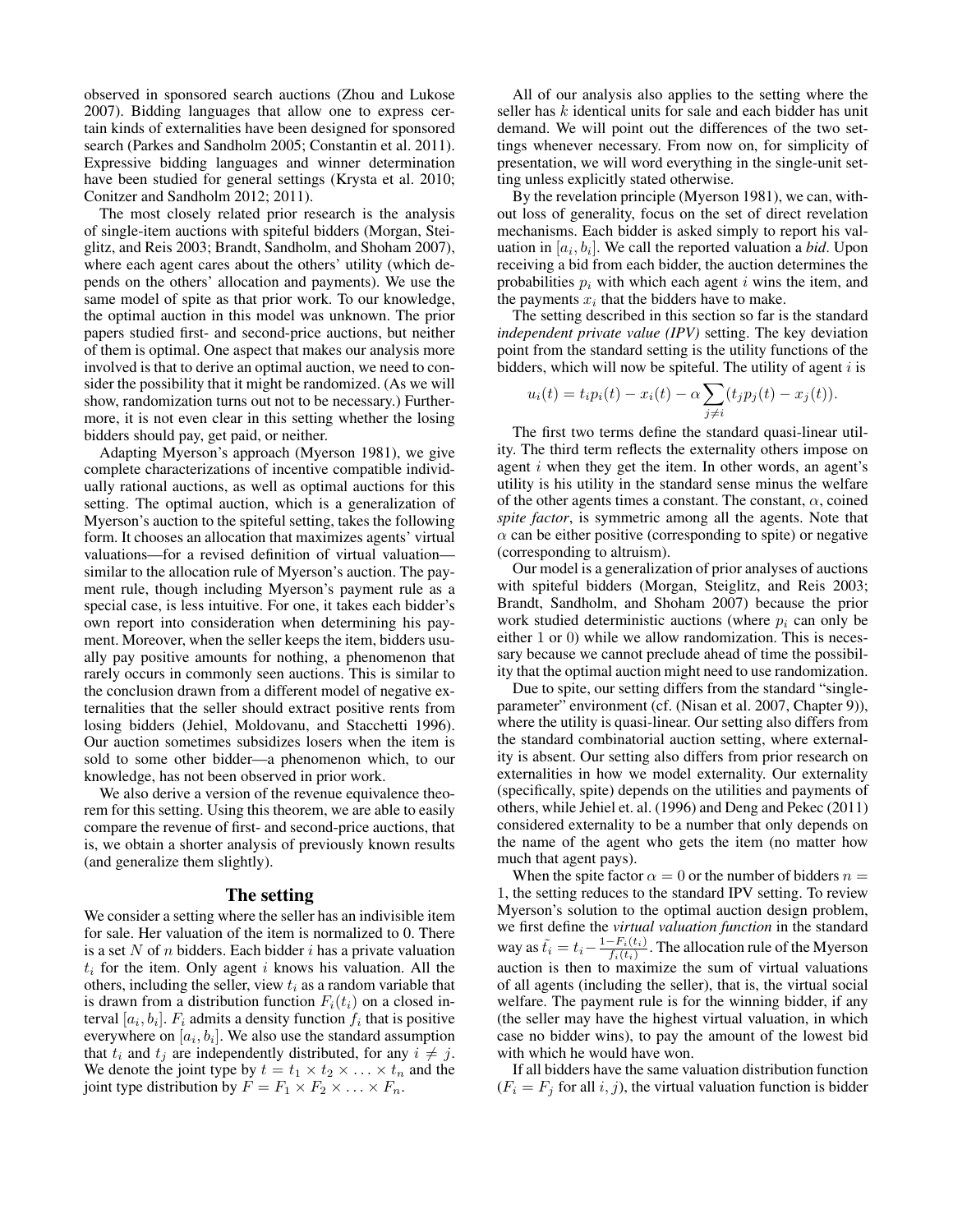observed in sponsored search auctions (Zhou and Lukose 2007). Bidding languages that allow one to express certain kinds of externalities have been designed for sponsored search (Parkes and Sandholm 2005; Constantin et al. 2011). Expressive bidding languages and winner determination have been studied for general settings (Krysta et al. 2010; Conitzer and Sandholm 2012; 2011).

The most closely related prior research is the analysis of single-item auctions with spiteful bidders (Morgan, Steiglitz, and Reis 2003; Brandt, Sandholm, and Shoham 2007), where each agent cares about the others' utility (which depends on the others' allocation and payments). We use the same model of spite as that prior work. To our knowledge, the optimal auction in this model was unknown. The prior papers studied first- and second-price auctions, but neither of them is optimal. One aspect that makes our analysis more involved is that to derive an optimal auction, we need to consider the possibility that it might be randomized. (As we will show, randomization turns out not to be necessary.) Furthermore, it is not even clear in this setting whether the losing bidders should pay, get paid, or neither.

Adapting Myerson's approach (Myerson 1981), we give complete characterizations of incentive compatible individually rational auctions, as well as optimal auctions for this setting. The optimal auction, which is a generalization of Myerson's auction to the spiteful setting, takes the following form. It chooses an allocation that maximizes agents' virtual valuations—for a revised definition of virtual valuation similar to the allocation rule of Myerson's auction. The payment rule, though including Myerson's payment rule as a special case, is less intuitive. For one, it takes each bidder's own report into consideration when determining his payment. Moreover, when the seller keeps the item, bidders usually pay positive amounts for nothing, a phenomenon that rarely occurs in commonly seen auctions. This is similar to the conclusion drawn from a different model of negative externalities that the seller should extract positive rents from losing bidders (Jehiel, Moldovanu, and Stacchetti 1996). Our auction sometimes subsidizes losers when the item is sold to some other bidder—a phenomenon which, to our knowledge, has not been observed in prior work.

We also derive a version of the revenue equivalence theorem for this setting. Using this theorem, we are able to easily compare the revenue of first- and second-price auctions, that is, we obtain a shorter analysis of previously known results (and generalize them slightly).

#### The setting

We consider a setting where the seller has an indivisible item for sale. Her valuation of the item is normalized to 0. There is a set  $N$  of  $n$  bidders. Each bidder  $i$  has a private valuation  $t_i$  for the item. Only agent i knows his valuation. All the others, including the seller, view  $t_i$  as a random variable that is drawn from a distribution function  $F_i(t_i)$  on a closed interval  $[a_i, b_i]$ .  $F_i$  admits a density function  $f_i$  that is positive everywhere on  $[a_i, b_i]$ . We also use the standard assumption that  $t_i$  and  $t_j$  are independently distributed, for any  $i \neq j$ . We denote the joint type by  $t = t_1 \times t_2 \times \ldots \times t_n$  and the joint type distribution by  $\overline{F} = F_1 \times F_2 \times \ldots \times F_n$ .

All of our analysis also applies to the setting where the seller has  $k$  identical units for sale and each bidder has unit demand. We will point out the differences of the two settings whenever necessary. From now on, for simplicity of presentation, we will word everything in the single-unit setting unless explicitly stated otherwise.

By the revelation principle (Myerson 1981), we can, without loss of generality, focus on the set of direct revelation mechanisms. Each bidder is asked simply to report his valuation in  $[a_i, b_i]$ . We call the reported valuation a *bid*. Upon receiving a bid from each bidder, the auction determines the probabilities  $p_i$  with which each agent i wins the item, and the payments  $x_i$  that the bidders have to make.

The setting described in this section so far is the standard *independent private value (IPV)* setting. The key deviation point from the standard setting is the utility functions of the bidders, which will now be spiteful. The utility of agent  $i$  is

$$
u_i(t) = t_i p_i(t) - x_i(t) - \alpha \sum_{j \neq i} (t_j p_j(t) - x_j(t)).
$$

The first two terms define the standard quasi-linear utility. The third term reflects the externality others impose on agent i when they get the item. In other words, an agent's utility is his utility in the standard sense minus the welfare of the other agents times a constant. The constant,  $\alpha$ , coined *spite factor*, is symmetric among all the agents. Note that  $\alpha$  can be either positive (corresponding to spite) or negative (corresponding to altruism).

Our model is a generalization of prior analyses of auctions with spiteful bidders (Morgan, Steiglitz, and Reis 2003; Brandt, Sandholm, and Shoham 2007) because the prior work studied deterministic auctions (where  $p_i$  can only be either 1 or 0) while we allow randomization. This is necessary because we cannot preclude ahead of time the possibility that the optimal auction might need to use randomization.

Due to spite, our setting differs from the standard "singleparameter" environment (cf. (Nisan et al. 2007, Chapter 9)), where the utility is quasi-linear. Our setting also differs from the standard combinatorial auction setting, where externality is absent. Our setting also differs from prior research on externalities in how we model externality. Our externality (specifically, spite) depends on the utilities and payments of others, while Jehiel et. al. (1996) and Deng and Pekec (2011) considered externality to be a number that only depends on the name of the agent who gets the item (no matter how much that agent pays).

When the spite factor  $\alpha = 0$  or the number of bidders  $n =$ 1, the setting reduces to the standard IPV setting. To review Myerson's solution to the optimal auction design problem, we first define the *virtual valuation function* in the standard way as  $\tilde{t}_i = t_i - \frac{1-F_i(t_i)}{f_i(t_i)}$  $\frac{-F_i(t_i)}{f_i(t_i)}$ . The allocation rule of the Myerson auction is then to maximize the sum of virtual valuations of all agents (including the seller), that is, the virtual social welfare. The payment rule is for the winning bidder, if any (the seller may have the highest virtual valuation, in which case no bidder wins), to pay the amount of the lowest bid with which he would have won.

If all bidders have the same valuation distribution function  $(F_i = F_j$  for all  $i, j)$ , the virtual valuation function is bidder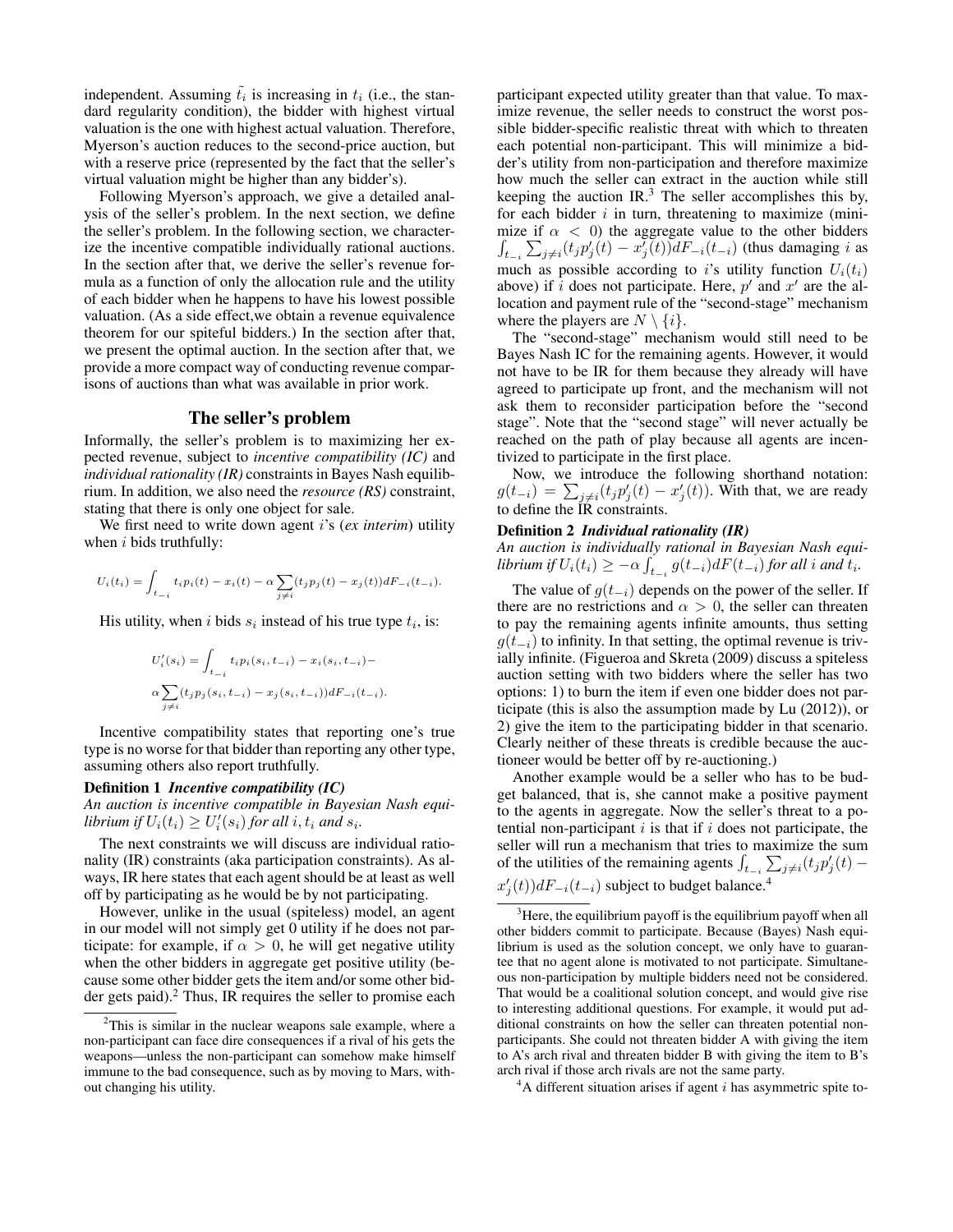independent. Assuming  $\tilde{t}_i$  is increasing in  $t_i$  (i.e., the standard regularity condition), the bidder with highest virtual valuation is the one with highest actual valuation. Therefore, Myerson's auction reduces to the second-price auction, but with a reserve price (represented by the fact that the seller's virtual valuation might be higher than any bidder's).

Following Myerson's approach, we give a detailed analysis of the seller's problem. In the next section, we define the seller's problem. In the following section, we characterize the incentive compatible individually rational auctions. In the section after that, we derive the seller's revenue formula as a function of only the allocation rule and the utility of each bidder when he happens to have his lowest possible valuation. (As a side effect,we obtain a revenue equivalence theorem for our spiteful bidders.) In the section after that, we present the optimal auction. In the section after that, we provide a more compact way of conducting revenue comparisons of auctions than what was available in prior work.

#### The seller's problem

Informally, the seller's problem is to maximizing her expected revenue, subject to *incentive compatibility (IC)* and *individual rationality (IR)* constraints in Bayes Nash equilibrium. In addition, we also need the *resource (RS)* constraint, stating that there is only one object for sale.

We first need to write down agent i's (*ex interim*) utility when  $i$  bids truthfully:

$$
U_i(t_i) = \int_{t_{-i}} t_i p_i(t) - x_i(t) - \alpha \sum_{j \neq i} (t_j p_j(t) - x_j(t)) dF_{-i}(t_{-i}).
$$

His utility, when i bids  $s_i$  instead of his true type  $t_i$ , is:

$$
U'_{i}(s_{i}) = \int_{t_{-i}} t_{i} p_{i}(s_{i}, t_{-i}) - x_{i}(s_{i}, t_{-i}) -
$$
  

$$
\alpha \sum_{j \neq i} (t_{j} p_{j}(s_{i}, t_{-i}) - x_{j}(s_{i}, t_{-i})) dF_{-i}(t_{-i}).
$$

Incentive compatibility states that reporting one's true type is no worse for that bidder than reporting any other type, assuming others also report truthfully.

#### Definition 1 *Incentive compatibility (IC)*

*An auction is incentive compatible in Bayesian Nash equi-* $\textit{librium if } U_i(t_i) \geq U'_i(s_i) \textit{ for all } i, t_i \textit{ and } s_i.$ 

The next constraints we will discuss are individual rationality (IR) constraints (aka participation constraints). As always, IR here states that each agent should be at least as well off by participating as he would be by not participating.

However, unlike in the usual (spiteless) model, an agent in our model will not simply get 0 utility if he does not participate: for example, if  $\alpha > 0$ , he will get negative utility when the other bidders in aggregate get positive utility (because some other bidder gets the item and/or some other bidder gets paid).<sup>2</sup> Thus, IR requires the seller to promise each participant expected utility greater than that value. To maximize revenue, the seller needs to construct the worst possible bidder-specific realistic threat with which to threaten each potential non-participant. This will minimize a bidder's utility from non-participation and therefore maximize how much the seller can extract in the auction while still keeping the auction IR. $3$  The seller accomplishes this by, for each bidder  $i$  in turn, threatening to maximize (minimize if  $\alpha$  < 0) the aggregate value to the other bidders  $\int_{t_{-i}} \sum_{j \neq i} (t_j p'_j(t) - x_j^{\bar{j}}(t)) dF_{-i}(t_{-i})$  (thus damaging i as much as possible according to i's utility function  $U_i(t_i)$ above) if i does not participate. Here,  $p'$  and  $x'$  are the allocation and payment rule of the "second-stage" mechanism where the players are  $N \setminus \{i\}.$ 

The "second-stage" mechanism would still need to be Bayes Nash IC for the remaining agents. However, it would not have to be IR for them because they already will have agreed to participate up front, and the mechanism will not ask them to reconsider participation before the "second stage". Note that the "second stage" will never actually be reached on the path of play because all agents are incentivized to participate in the first place.

Now, we introduce the following shorthand notation:  $g(t_{-i}) = \sum_{j \neq i} (t_j p'_j(t) - x'_j(t))$ . With that, we are ready to define the IR constraints.

#### Definition 2 *Individual rationality (IR)*

*An auction is individually rational in Bayesian Nash equi-* $\textit{librium if } U_i(t_i) \geq -\alpha \int_{t_{-i}} g(t_{-i}) dF(t_{-i}) \textit{ for all } i \textit{ and } t_i.$ 

The value of  $g(t_{-i})$  depends on the power of the seller. If there are no restrictions and  $\alpha > 0$ , the seller can threaten to pay the remaining agents infinite amounts, thus setting  $g(t_{-i})$  to infinity. In that setting, the optimal revenue is trivially infinite. (Figueroa and Skreta (2009) discuss a spiteless auction setting with two bidders where the seller has two options: 1) to burn the item if even one bidder does not participate (this is also the assumption made by Lu (2012)), or 2) give the item to the participating bidder in that scenario. Clearly neither of these threats is credible because the auctioneer would be better off by re-auctioning.)

Another example would be a seller who has to be budget balanced, that is, she cannot make a positive payment to the agents in aggregate. Now the seller's threat to a potential non-participant  $i$  is that if  $i$  does not participate, the seller will run a mechanism that tries to maximize the sum of the utilities of the remaining agents  $\int_{t-i} \sum_{j\neq i} (t_j p'_j(t)$  $x'_{j}(t)$ ) $dF_{-i}(t_{-i})$  subject to budget balance.<sup>4</sup>

 $3^3$ Here, the equilibrium payoff is the equilibrium payoff when all other bidders commit to participate. Because (Bayes) Nash equilibrium is used as the solution concept, we only have to guarantee that no agent alone is motivated to not participate. Simultaneous non-participation by multiple bidders need not be considered. That would be a coalitional solution concept, and would give rise to interesting additional questions. For example, it would put additional constraints on how the seller can threaten potential nonparticipants. She could not threaten bidder A with giving the item to A's arch rival and threaten bidder B with giving the item to B's arch rival if those arch rivals are not the same party.

 $A<sup>4</sup>A$  different situation arises if agent i has asymmetric spite to-

<sup>&</sup>lt;sup>2</sup>This is similar in the nuclear weapons sale example, where a non-participant can face dire consequences if a rival of his gets the weapons—unless the non-participant can somehow make himself immune to the bad consequence, such as by moving to Mars, without changing his utility.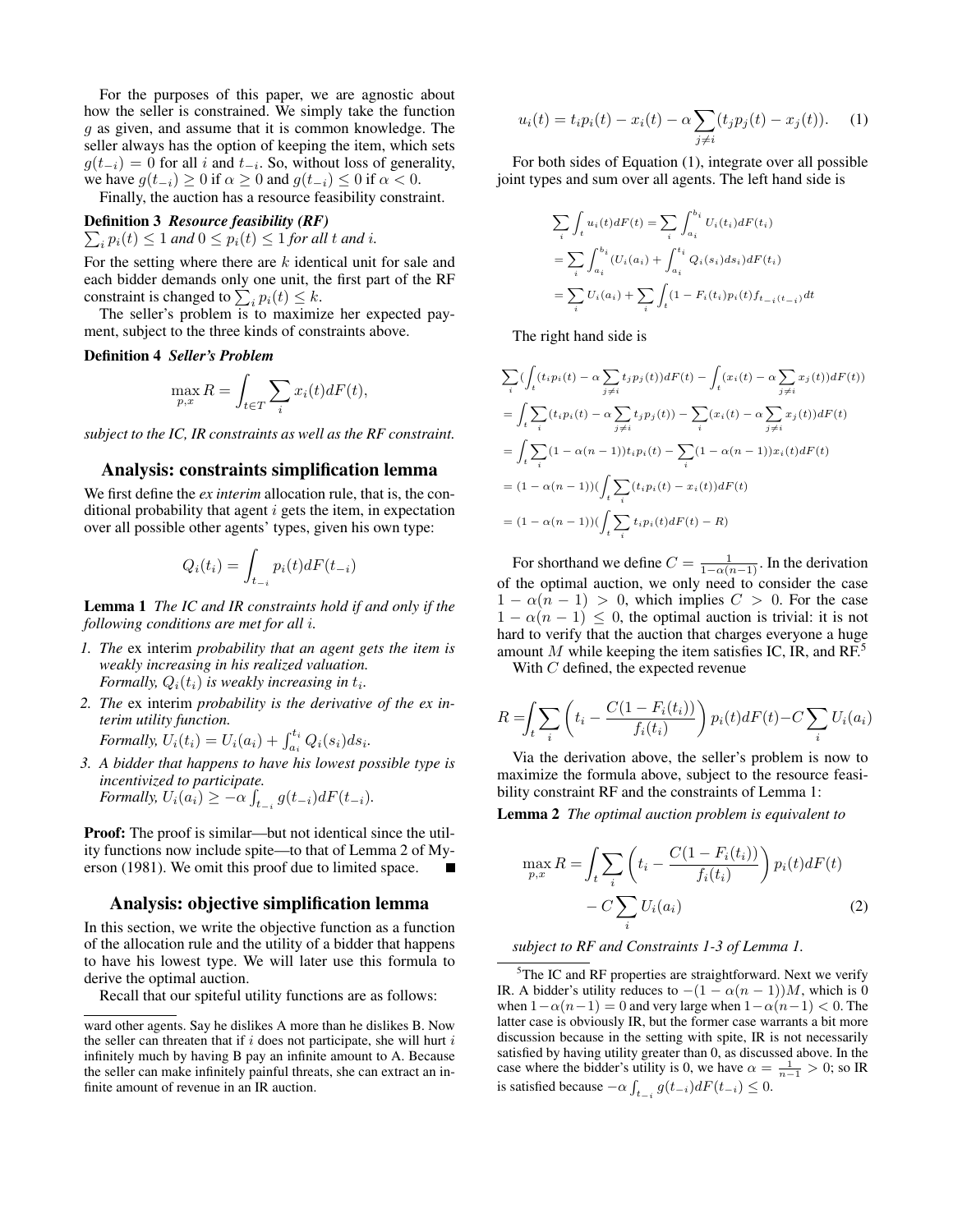For the purposes of this paper, we are agnostic about how the seller is constrained. We simply take the function  $g$  as given, and assume that it is common knowledge. The seller always has the option of keeping the item, which sets  $g(t_{-i}) = 0$  for all i and  $t_{-i}$ . So, without loss of generality, we have  $g(t_{-i}) \ge 0$  if  $\alpha \ge 0$  and  $g(t_{-i}) \le 0$  if  $\alpha < 0$ .

Finally, the auction has a resource feasibility constraint.

#### Definition 3 *Resource feasibility (RF)*

 $\sum_i p_i(t) \leq 1$  and  $0 \leq p_i(t) \leq 1$  for all t and i.

For the setting where there are  $k$  identical unit for sale and each bidder demands only one unit, the first part of the RF constraint is changed to  $\sum_i p_i(t) \leq k$ .

The seller's problem is to maximize her expected payment, subject to the three kinds of constraints above.

#### Definition 4 *Seller's Problem*

$$
\max_{p,x} R = \int_{t \in T} \sum_{i} x_i(t) dF(t),
$$

*subject to the IC, IR constraints as well as the RF constraint.*

### Analysis: constraints simplification lemma

We first define the *ex interim* allocation rule, that is, the conditional probability that agent  $i$  gets the item, in expectation over all possible other agents' types, given his own type:

$$
Q_i(t_i) = \int_{t_{-i}} p_i(t) dF(t_{-i})
$$

Lemma 1 *The IC and IR constraints hold if and only if the following conditions are met for all* i*.*

- *1. The* ex interim *probability that an agent gets the item is weakly increasing in his realized valuation. Formally,*  $Q_i(t_i)$  *is weakly increasing in*  $t_i$ *.*
- *2. The* ex interim *probability is the derivative of the ex interim utility function.*

Formally, 
$$
U_i(t_i) = U_i(a_i) + \int_{a_i}^{t_i} Q_i(s_i) ds_i
$$
.

*3. A bidder that happens to have his lowest possible type is incentivized to participate. Formally,*  $U_i(a_i) \geq -\alpha \int_{t_{-i}} g(t_{-i}) dF(t_{-i})$ .

Proof: The proof is similar—but not identical since the utility functions now include spite—to that of Lemma 2 of Myerson (1981). We omit this proof due to limited space.

#### Analysis: objective simplification lemma

In this section, we write the objective function as a function of the allocation rule and the utility of a bidder that happens to have his lowest type. We will later use this formula to derive the optimal auction.

Recall that our spiteful utility functions are as follows:

$$
u_i(t) = t_i p_i(t) - x_i(t) - \alpha \sum_{j \neq i} (t_j p_j(t) - x_j(t)).
$$
 (1)

For both sides of Equation (1), integrate over all possible joint types and sum over all agents. The left hand side is

$$
\sum_{i} \int_{t} u_{i}(t) dF(t) = \sum_{i} \int_{a_{i}}^{b_{i}} U_{i}(t_{i}) dF(t_{i})
$$

$$
= \sum_{i} \int_{a_{i}}^{b_{i}} (U_{i}(a_{i}) + \int_{a_{i}}^{t_{i}} Q_{i}(s_{i}) ds_{i}) dF(t_{i})
$$

$$
= \sum_{i} U_{i}(a_{i}) + \sum_{i} \int_{t} (1 - F_{i}(t_{i}) p_{i}(t) f_{t_{-i}(t_{-i})} dt
$$

The right hand side is

$$
\sum_{i} \left( \int_{t} (t_{i}p_{i}(t) - \alpha \sum_{j \neq i} t_{j}p_{j}(t)) dF(t) - \int_{t} (x_{i}(t) - \alpha \sum_{j \neq i} x_{j}(t)) dF(t) \right)
$$
\n
$$
= \int_{t} \sum_{i} (t_{i}p_{i}(t) - \alpha \sum_{j \neq i} t_{j}p_{j}(t)) - \sum_{i} (x_{i}(t) - \alpha \sum_{j \neq i} x_{j}(t)) dF(t)
$$
\n
$$
= \int_{t} \sum_{i} (1 - \alpha(n-1)) t_{i}p_{i}(t) - \sum_{i} (1 - \alpha(n-1)) x_{i}(t) dF(t)
$$
\n
$$
= (1 - \alpha(n-1)) \Big( \int_{t} \sum_{i} (t_{i}p_{i}(t) - x_{i}(t)) dF(t)
$$
\n
$$
= (1 - \alpha(n-1)) \Big( \int_{t} \sum_{i} t_{i}p_{i}(t) dF(t) - R \Big)
$$

For shorthand we define  $C = \frac{1}{1 - \alpha(n-1)}$ . In the derivation of the optimal auction, we only need to consider the case  $1 - \alpha(n - 1) > 0$ , which implies  $C > 0$ . For the case  $1 - \alpha(n - 1) \leq 0$ , the optimal auction is trivial: it is not hard to verify that the auction that charges everyone a huge amount M while keeping the item satisfies IC, IR, and  $RF^5$ 

With C defined, the expected revenue

$$
R = \int_{t} \sum_{i} \left( t_i - \frac{C(1 - F_i(t_i))}{f_i(t_i)} \right) p_i(t) dF(t) - C \sum_{i} U_i(a_i)
$$

Via the derivation above, the seller's problem is now to maximize the formula above, subject to the resource feasibility constraint RF and the constraints of Lemma 1:

Lemma 2 *The optimal auction problem is equivalent to*

$$
\max_{p,x} R = \int_t \sum_i \left( t_i - \frac{C(1 - F_i(t_i))}{f_i(t_i)} \right) p_i(t) dF(t)
$$

$$
- C \sum_i U_i(a_i) \tag{2}
$$

### *subject to RF and Constraints 1-3 of Lemma 1.*

<sup>5</sup>The IC and RF properties are straightforward. Next we verify IR. A bidder's utility reduces to  $-(1 - \alpha(n - 1))M$ , which is 0 when  $1-\alpha(n-1) = 0$  and very large when  $1-\alpha(n-1) < 0$ . The latter case is obviously IR, but the former case warrants a bit more discussion because in the setting with spite, IR is not necessarily satisfied by having utility greater than 0, as discussed above. In the case where the bidder's utility is 0, we have  $\alpha = \frac{1}{n-1} > 0$ ; so IR is satisfied because  $-\alpha \int_{t-i}^{\infty} g(t_{-i}) dF(t_{-i}) \leq 0$ .

ward other agents. Say he dislikes A more than he dislikes B. Now the seller can threaten that if  $i$  does not participate, she will hurt  $i$ infinitely much by having B pay an infinite amount to A. Because the seller can make infinitely painful threats, she can extract an infinite amount of revenue in an IR auction.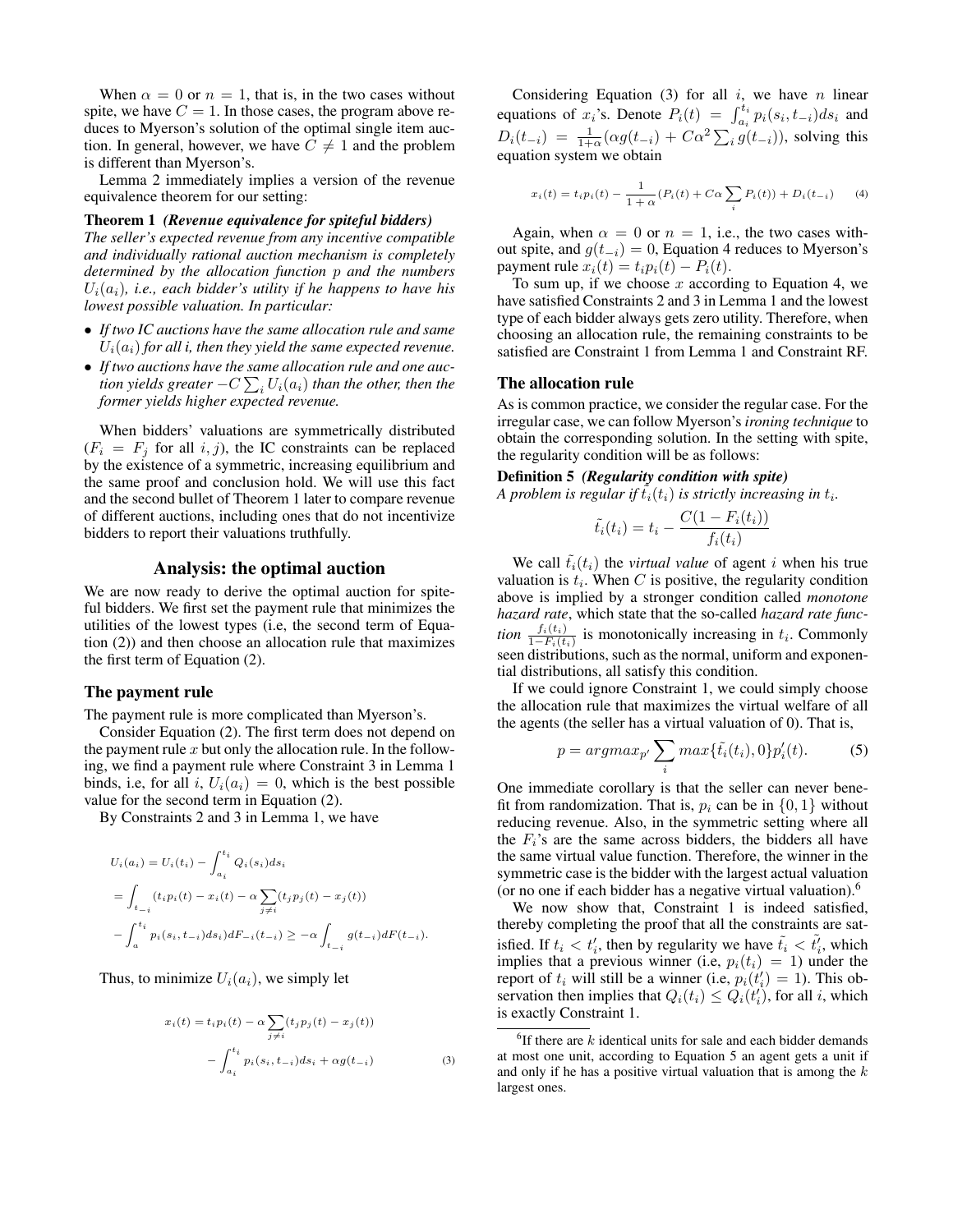When  $\alpha = 0$  or  $n = 1$ , that is, in the two cases without spite, we have  $C = 1$ . In those cases, the program above reduces to Myerson's solution of the optimal single item auction. In general, however, we have  $\overline{C} \neq 1$  and the problem is different than Myerson's.

Lemma 2 immediately implies a version of the revenue equivalence theorem for our setting:

#### Theorem 1 *(Revenue equivalence for spiteful bidders)*

*The seller's expected revenue from any incentive compatible and individually rational auction mechanism is completely determined by the allocation function* p *and the numbers*  $U_i(a_i)$ , *i.e., each bidder's utility if he happens to have his lowest possible valuation. In particular:*

- *If two IC auctions have the same allocation rule and same*  $U_i(a_i)$  for all *i*, then they yield the same expected revenue.
- *If two auctions have the same allocation rule and one auc*tion yields greater  $-C\sum_i U_i(a_i)$  than the other, then the *former yields higher expected revenue.*

When bidders' valuations are symmetrically distributed  $(F_i = F_j \text{ for all } i, j)$ , the IC constraints can be replaced by the existence of a symmetric, increasing equilibrium and the same proof and conclusion hold. We will use this fact and the second bullet of Theorem 1 later to compare revenue of different auctions, including ones that do not incentivize bidders to report their valuations truthfully.

### Analysis: the optimal auction

We are now ready to derive the optimal auction for spiteful bidders. We first set the payment rule that minimizes the utilities of the lowest types (i.e, the second term of Equation (2)) and then choose an allocation rule that maximizes the first term of Equation (2).

#### The payment rule

The payment rule is more complicated than Myerson's.

Consider Equation (2). The first term does not depend on the payment rule  $x$  but only the allocation rule. In the following, we find a payment rule where Constraint 3 in Lemma 1 binds, i.e, for all i,  $U_i(a_i) = 0$ , which is the best possible value for the second term in Equation (2).

By Constraints 2 and 3 in Lemma 1, we have

$$
U_i(a_i) = U_i(t_i) - \int_{a_i}^{t_i} Q_i(s_i) ds_i
$$
  
= 
$$
\int_{t_{-i}} (t_i p_i(t) - x_i(t) - \alpha \sum_{j \neq i} (t_j p_j(t) - x_j(t))
$$
  
- 
$$
\int_{a}^{t_i} p_i(s_i, t_{-i}) ds_i) dF_{-i}(t_{-i}) \ge -\alpha \int_{t_{-i}} g(t_{-i}) dF(t_{-i}).
$$

Thus, to minimize  $U_i(a_i)$ , we simply let

$$
x_i(t) = t_i p_i(t) - \alpha \sum_{j \neq i} (t_j p_j(t) - x_j(t))
$$

$$
- \int_{a_i}^{t_i} p_i(s_i, t_{-i}) ds_i + \alpha g(t_{-i})
$$
(3)

Considering Equation (3) for all  $i$ , we have  $n$  linear equations of  $x_i$ 's. Denote  $P_i(t) = \int_{a_i}^{t_i} p_i(s_i, t_{-i}) ds_i$  and  $D_i(t_{-i}) = \frac{1}{1+\alpha} (\alpha g(t_{-i}) + C\alpha^2 \sum_i g(t_{-i})$ , solving this equation system we obtain

$$
x_i(t) = t_i p_i(t) - \frac{1}{1 + \alpha} (P_i(t) + C\alpha \sum_i P_i(t)) + D_i(t_{-i})
$$
 (4)

Again, when  $\alpha = 0$  or  $n = 1$ , i.e., the two cases without spite, and  $g(t_{-i}) = 0$ , Equation 4 reduces to Myerson's payment rule  $x_i(t) = t_i p_i(t) - P_i(t)$ .

To sum up, if we choose  $x$  according to Equation 4, we have satisfied Constraints 2 and 3 in Lemma 1 and the lowest type of each bidder always gets zero utility. Therefore, when choosing an allocation rule, the remaining constraints to be satisfied are Constraint 1 from Lemma 1 and Constraint RF.

#### The allocation rule

As is common practice, we consider the regular case. For the irregular case, we can follow Myerson's *ironing technique* to obtain the corresponding solution. In the setting with spite, the regularity condition will be as follows:

Definition 5 *(Regularity condition with spite)* A problem is regular if  $\tilde{t_{i}}(t_{i})$  is strictly increasing in  $t_{i}$ .

$$
\tilde{t}_i(t_i) = t_i - \frac{C(1 - F_i(t_i))}{f_i(t_i)}
$$

We call  $\tilde{t}_i(t_i)$  the *virtual value* of agent i when his true valuation is  $t_i$ . When C is positive, the regularity condition above is implied by a stronger condition called *monotone hazard rate*, which state that the so-called *hazard rate function*  $\frac{f_i(t_i)}{1-F_i(t_i)}$  is monotonically increasing in  $t_i$ . Commonly seen distributions, such as the normal, uniform and exponential distributions, all satisfy this condition.

If we could ignore Constraint 1, we could simply choose the allocation rule that maximizes the virtual welfare of all the agents (the seller has a virtual valuation of 0). That is,

$$
p = argmax_{p'} \sum_{i} max{\tilde{t}_{i}(t_{i}), 0} p'_{i}(t). \tag{5}
$$

One immediate corollary is that the seller can never benefit from randomization. That is,  $p_i$  can be in  $\{0, 1\}$  without reducing revenue. Also, in the symmetric setting where all the  $F_i$ 's are the same across bidders, the bidders all have the same virtual value function. Therefore, the winner in the symmetric case is the bidder with the largest actual valuation (or no one if each bidder has a negative virtual valuation).<sup>6</sup>

We now show that, Constraint 1 is indeed satisfied, thereby completing the proof that all the constraints are satisfied. If  $t_i < t'_i$ , then by regularity we have  $\tilde{t}_i < \tilde{t}'_i$ , which implies that a previous winner (i.e,  $p_i(t_i) = 1$ ) under the report of  $t_i$  will still be a winner (i.e,  $p_i(t'_i) = 1$ ). This observation then implies that  $Q_i(t_i) \leq Q_i(t'_i)$ , for all i, which is exactly Constraint 1.

 ${}^{6}$ If there are k identical units for sale and each bidder demands at most one unit, according to Equation 5 an agent gets a unit if and only if he has a positive virtual valuation that is among the  $k$ largest ones.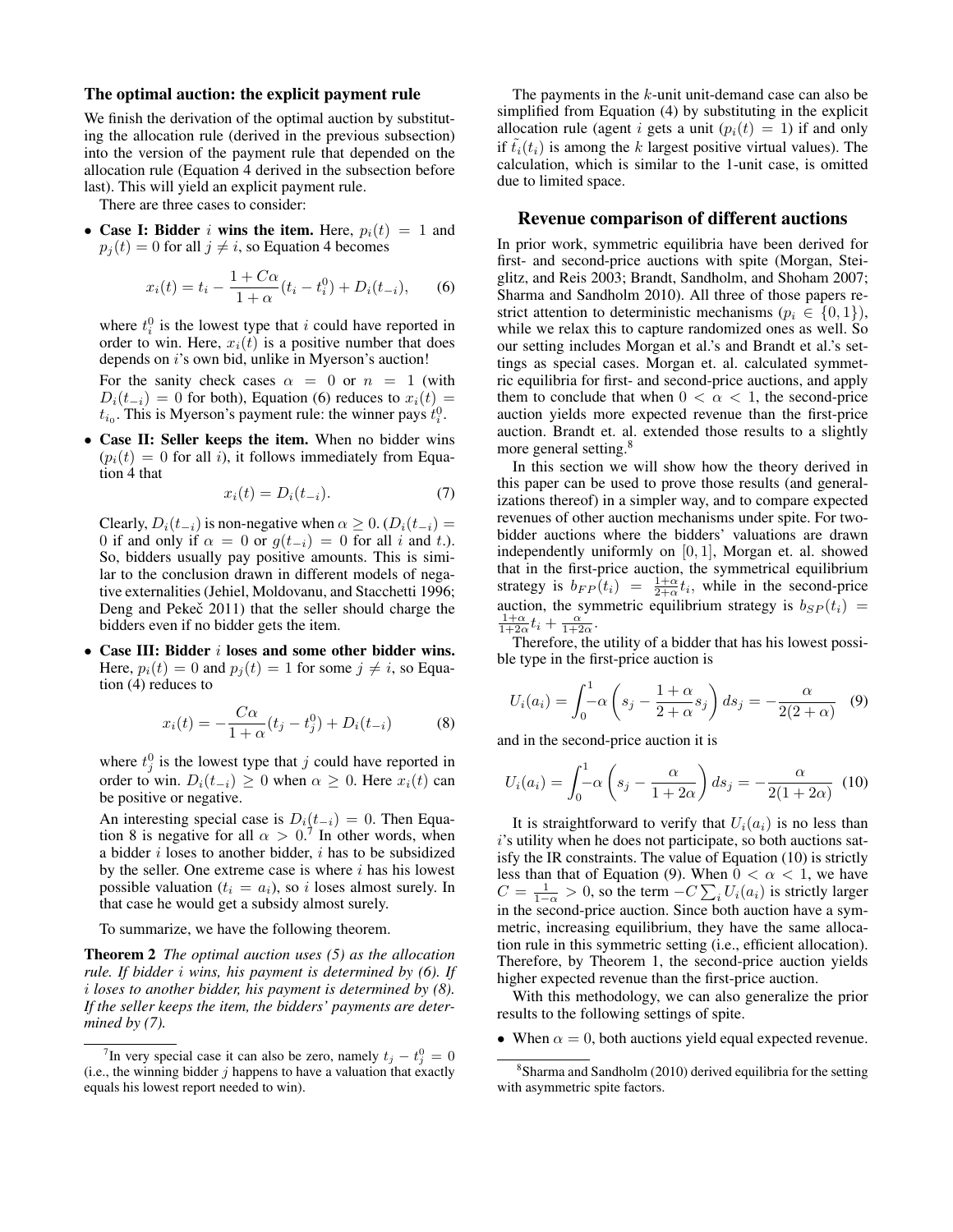#### The optimal auction: the explicit payment rule

We finish the derivation of the optimal auction by substituting the allocation rule (derived in the previous subsection) into the version of the payment rule that depended on the allocation rule (Equation 4 derived in the subsection before last). This will yield an explicit payment rule.

There are three cases to consider:

• Case I: Bidder *i* wins the item. Here,  $p_i(t) = 1$  and  $p_i(t) = 0$  for all  $j \neq i$ , so Equation 4 becomes

$$
x_i(t) = t_i - \frac{1 + C\alpha}{1 + \alpha}(t_i - t_i^0) + D_i(t_{-i}), \qquad (6)
$$

where  $t_i^0$  is the lowest type that i could have reported in order to win. Here,  $x_i(t)$  is a positive number that does depends on *i*'s own bid, unlike in Myerson's auction!

For the sanity check cases  $\alpha = 0$  or  $n = 1$  (with  $D_i(t_{-i}) = 0$  for both), Equation (6) reduces to  $x_i(t) =$  $t_{i_0}$ . This is Myerson's payment rule: the winner pays  $t_i^0$ .

• Case II: Seller keeps the item. When no bidder wins  $(p_i(t) = 0$  for all *i*), it follows immediately from Equation 4 that

$$
x_i(t) = D_i(t_{-i}).\tag{7}
$$

Clearly,  $D_i(t_{-i})$  is non-negative when  $\alpha \geq 0$ . ( $D_i(t_{-i})$  = 0 if and only if  $\alpha = 0$  or  $g(t_{-i}) = 0$  for all i and t.). So, bidders usually pay positive amounts. This is similar to the conclusion drawn in different models of negative externalities (Jehiel, Moldovanu, and Stacchetti 1996; Deng and Pekeč 2011) that the seller should charge the bidders even if no bidder gets the item.

• Case III: Bidder i loses and some other bidder wins. Here,  $p_i(t) = 0$  and  $p_i(t) = 1$  for some  $j \neq i$ , so Equation (4) reduces to

$$
x_i(t) = -\frac{C\alpha}{1+\alpha}(t_j - t_j^0) + D_i(t_{-i})
$$
 (8)

where  $t_j^0$  is the lowest type that j could have reported in order to win.  $D_i(t_{-i}) \geq 0$  when  $\alpha \geq 0$ . Here  $x_i(t)$  can be positive or negative.

An interesting special case is  $D_i(t_{-i}) = 0$ . Then Equation 8 is negative for all  $\alpha > 0$ .<sup>7</sup> In other words, when a bidder  $i$  loses to another bidder,  $i$  has to be subsidized by the seller. One extreme case is where  $i$  has his lowest possible valuation ( $t_i = a_i$ ), so i loses almost surely. In that case he would get a subsidy almost surely.

To summarize, we have the following theorem.

Theorem 2 *The optimal auction uses (5) as the allocation rule. If bidder* i *wins, his payment is determined by (6). If* i *loses to another bidder, his payment is determined by (8). If the seller keeps the item, the bidders' payments are determined by (7).*

The payments in the k-unit unit-demand case can also be simplified from Equation (4) by substituting in the explicit allocation rule (agent *i* gets a unit  $(p_i(t) = 1)$  if and only if  $t_i(t_i)$  is among the k largest positive virtual values). The calculation, which is similar to the 1-unit case, is omitted due to limited space.

## Revenue comparison of different auctions

In prior work, symmetric equilibria have been derived for first- and second-price auctions with spite (Morgan, Steiglitz, and Reis 2003; Brandt, Sandholm, and Shoham 2007; Sharma and Sandholm 2010). All three of those papers restrict attention to deterministic mechanisms ( $p_i \in \{0, 1\}$ ), while we relax this to capture randomized ones as well. So our setting includes Morgan et al.'s and Brandt et al.'s settings as special cases. Morgan et. al. calculated symmetric equilibria for first- and second-price auctions, and apply them to conclude that when  $0 < \alpha < 1$ , the second-price auction yields more expected revenue than the first-price auction. Brandt et. al. extended those results to a slightly more general setting.<sup>8</sup>

In this section we will show how the theory derived in this paper can be used to prove those results (and generalizations thereof) in a simpler way, and to compare expected revenues of other auction mechanisms under spite. For twobidder auctions where the bidders' valuations are drawn independently uniformly on [0, 1], Morgan et. al. showed that in the first-price auction, the symmetrical equilibrium strategy is  $b_{FP}(t_i) = \frac{1+\alpha}{2+\alpha}t_i$ , while in the second-price auction, the symmetric equilibrium strategy is  $b_{SP}(t_i)$  =  $\frac{1+\alpha}{1+2\alpha}t_i + \frac{\alpha}{1+2\alpha}$ .

Therefore, the utility of a bidder that has his lowest possible type in the first-price auction is

$$
U_i(a_i) = \int_0^1 \alpha \left( s_j - \frac{1+\alpha}{2+\alpha} s_j \right) ds_j = -\frac{\alpha}{2(2+\alpha)} \quad (9)
$$

and in the second-price auction it is

$$
U_i(a_i) = \int_0^1 -\alpha \left( s_j - \frac{\alpha}{1 + 2\alpha} \right) ds_j = -\frac{\alpha}{2(1 + 2\alpha)} \tag{10}
$$

It is straightforward to verify that  $U_i(a_i)$  is no less than i's utility when he does not participate, so both auctions satisfy the IR constraints. The value of Equation (10) is strictly less than that of Equation (9). When  $0 < \alpha < 1$ , we have  $C = \frac{1}{1-\alpha} > 0$ , so the term  $-C \sum_i U_i(a_i)$  is strictly larger in the second-price auction. Since both auction have a symmetric, increasing equilibrium, they have the same allocation rule in this symmetric setting (i.e., efficient allocation). Therefore, by Theorem 1, the second-price auction yields higher expected revenue than the first-price auction.

With this methodology, we can also generalize the prior results to the following settings of spite.

• When  $\alpha = 0$ , both auctions yield equal expected revenue.

<sup>&</sup>lt;sup>7</sup>In very special case it can also be zero, namely  $t_j - t_j^0 = 0$ (i.e., the winning bidder  $j$  happens to have a valuation that exactly equals his lowest report needed to win).

<sup>&</sup>lt;sup>8</sup>Sharma and Sandholm (2010) derived equilibria for the setting with asymmetric spite factors.